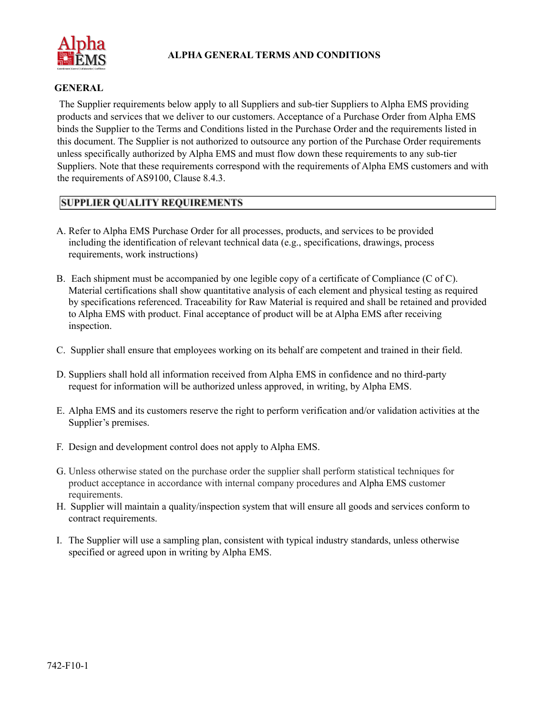

## **ALPHA GENERAL TERMS AND CONDITIONS**

## **GENERAL**

The Supplier requirements below apply to all Suppliers and sub-tier Suppliers to Alpha EMS providing products and services that we deliver to our customers. Acceptance of a Purchase Order from Alpha EMS binds the Supplier to the Terms and Conditions listed in the Purchase Order and the requirements listed in this document. The Supplier is not authorized to outsource any portion of the Purchase Order requirements unless specifically authorized by Alpha EMS and must flow down these requirements to any sub-tier Suppliers. Note that these requirements correspond with the requirements of Alpha EMS customers and with the requirements of AS9100, Clause 8.4.3.

## **SUPPLIER QUALITY REQUIREMENTS**

- A. Refer to Alpha EMS Purchase Order for all processes, products, and services to be provided including the identification of relevant technical data (e.g., specifications, drawings, process requirements, work instructions)
- B. Each shipment must be accompanied by one legible copy of a certificate of Compliance (C of C). Material certifications shall show quantitative analysis of each element and physical testing as required by specifications referenced. Traceability for Raw Material is required and shall be retained and provided to Alpha EMS with product. Final acceptance of product will be at Alpha EMS after receiving inspection.
- C. Supplier shall ensure that employees working on its behalf are competent and trained in their field.
- D. Suppliers shall hold all information received from Alpha EMS in confidence and no third-party request for information will be authorized unless approved, in writing, by Alpha EMS.
- E. Alpha EMS and its customers reserve the right to perform verification and/or validation activities at the Supplier's premises.
- F. Design and development control does not apply to Alpha EMS.
- G. Unless otherwise stated on the purchase order the supplier shall perform statistical techniques for product acceptance in accordance with internal company procedures and Alpha EMS customer requirements.
- H. Supplier will maintain a quality/inspection system that will ensure all goods and services conform to contract requirements.
- I. The Supplier will use a sampling plan, consistent with typical industry standards, unless otherwise specified or agreed upon in writing by Alpha EMS.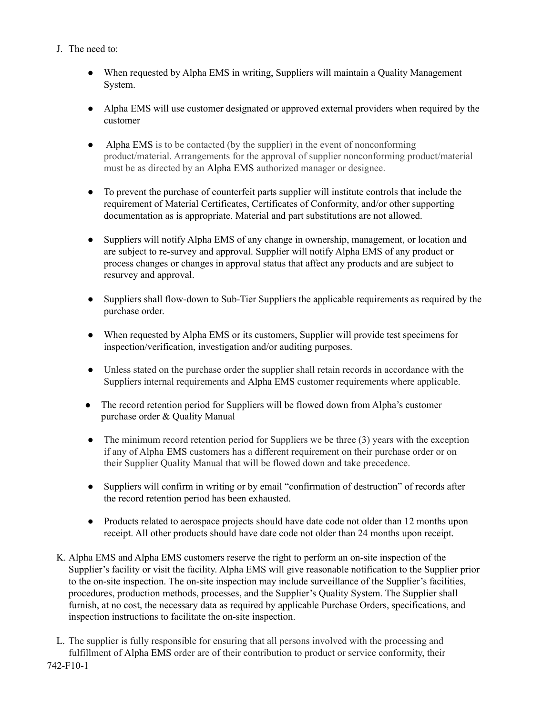- J. The need to:
	- When requested by Alpha EMS in writing, Suppliers will maintain a Quality Management System.
	- Alpha EMS will use customer designated or approved external providers when required by the customer
	- Alpha EMS is to be contacted (by the supplier) in the event of nonconforming product/material. Arrangements for the approval of supplier nonconforming product/material must be as directed by an Alpha EMS authorized manager or designee.
	- To prevent the purchase of counterfeit parts supplier will institute controls that include the requirement of Material Certificates, Certificates of Conformity, and/or other supporting documentation as is appropriate. Material and part substitutions are not allowed.
	- Suppliers will notify Alpha EMS of any change in ownership, management, or location and are subject to re-survey and approval. Supplier will notify Alpha EMS of any product or process changes or changes in approval status that affect any products and are subject to resurvey and approval.
	- Suppliers shall flow-down to Sub-Tier Suppliers the applicable requirements as required by the purchase order.
	- When requested by Alpha EMS or its customers, Supplier will provide test specimens for inspection/verification, investigation and/or auditing purposes.
	- Unless stated on the purchase order the supplier shall retain records in accordance with the Suppliers internal requirements and Alpha EMS customer requirements where applicable.
	- The record retention period for Suppliers will be flowed down from Alpha's customer purchase order & Quality Manual
	- $\bullet$  The minimum record retention period for Suppliers we be three (3) years with the exception if any of Alpha EMS customers has a different requirement on their purchase order or on their Supplier Quality Manual that will be flowed down and take precedence.
	- Suppliers will confirm in writing or by email "confirmation of destruction" of records after the record retention period has been exhausted.
	- Products related to aerospace projects should have date code not older than 12 months upon receipt. All other products should have date code not older than 24 months upon receipt.
- K. Alpha EMS and Alpha EMS customers reserve the right to perform an on-site inspection of the Supplier's facility or visit the facility. Alpha EMS will give reasonable notification to the Supplier prior to the on-site inspection. The on-site inspection may include surveillance of the Supplier's facilities, procedures, production methods, processes, and the Supplier's Quality System. The Supplier shall furnish, at no cost, the necessary data as required by applicable Purchase Orders, specifications, and inspection instructions to facilitate the on-site inspection.
- L. The supplier is fully responsible for ensuring that all persons involved with the processing and fulfillment of Alpha EMS order are of their contribution to product or service conformity, their 742-F10-1